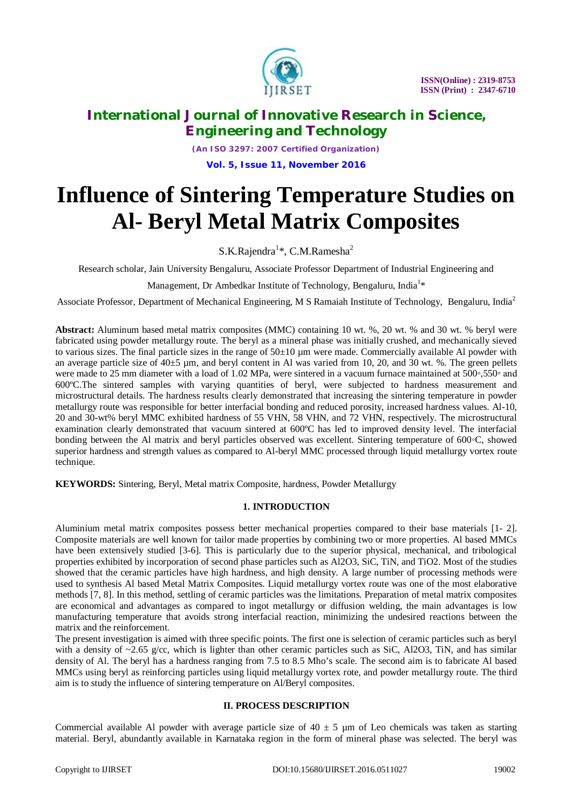

*(An ISO 3297: 2007 Certified Organization)* **Vol. 5, Issue 11, November 2016**

# **Influence of Sintering Temperature Studies on Al- Beryl Metal Matrix Composites**

S.K.Rajendra<sup>1</sup>\*, C.M.Ramesha<sup>2</sup>

Research scholar, Jain University Bengaluru, Associate Professor Department of Industrial Engineering and

Management, Dr Ambedkar Institute of Technology, Bengaluru, India<sup>1</sup>\*

Associate Professor, Department of Mechanical Engineering, M S Ramaiah Institute of Technology, Bengaluru, India<sup>2</sup>

**Abstract:** Aluminum based metal matrix composites (MMC) containing 10 wt. %, 20 wt. % and 30 wt. % beryl were fabricated using powder metallurgy route. The beryl as a mineral phase was initially crushed, and mechanically sieved to various sizes. The final particle sizes in the range of  $50\pm10$  µm were made. Commercially available Al powder with an average particle size of  $40\pm5$  µm, and beryl content in Al was varied from 10, 20, and 30 wt. %. The green pellets were made to 25 mm diameter with a load of 1.02 MPa, were sintered in a vacuum furnace maintained at 500∘,550° and 600ºC.The sintered samples with varying quantities of beryl, were subjected to hardness measurement and microstructural details. The hardness results clearly demonstrated that increasing the sintering temperature in powder metallurgy route was responsible for better interfacial bonding and reduced porosity, increased hardness values. Al-10, 20 and 30-wt% beryl MMC exhibited hardness of 55 VHN, 58 VHN, and 72 VHN, respectively. The microstructural examination clearly demonstrated that vacuum sintered at 600ºC has led to improved density level. The interfacial bonding between the Al matrix and beryl particles observed was excellent. Sintering temperature of 600◦C, showed superior hardness and strength values as compared to Al-beryl MMC processed through liquid metallurgy vortex route technique.

**KEYWORDS:** Sintering, Beryl, Metal matrix Composite, hardness, Powder Metallurgy

### **1. INTRODUCTION**

Aluminium metal matrix composites possess better mechanical properties compared to their base materials [1- 2]. Composite materials are well known for tailor made properties by combining two or more properties. Al based MMCs have been extensively studied [3-6]. This is particularly due to the superior physical, mechanical, and tribological properties exhibited by incorporation of second phase particles such as Al2O3, SiC, TiN, and TiO2. Most of the studies showed that the ceramic particles have high hardness, and high density. A large number of processing methods were used to synthesis Al based Metal Matrix Composites. Liquid metallurgy vortex route was one of the most elaborative methods [7, 8]. In this method, settling of ceramic particles was the limitations. Preparation of metal matrix composites are economical and advantages as compared to ingot metallurgy or diffusion welding, the main advantages is low manufacturing temperature that avoids strong interfacial reaction, minimizing the undesired reactions between the matrix and the reinforcement.

The present investigation is aimed with three specific points. The first one is selection of ceramic particles such as beryl with a density of  $\sim$ 2.65 g/cc, which is lighter than other ceramic particles such as SiC, Al2O3, TiN, and has similar density of Al. The beryl has a hardness ranging from 7.5 to 8.5 Mho's scale. The second aim is to fabricate Al based MMCs using beryl as reinforcing particles using liquid metallurgy vortex rote, and powder metallurgy route. The third aim is to study the influence of sintering temperature on Al/Beryl composites.

### **II. PROCESS DESCRIPTION**

Commercial available Al powder with average particle size of  $40 \pm 5$  µm of Leo chemicals was taken as starting material. Beryl, abundantly available in Karnataka region in the form of mineral phase was selected. The beryl was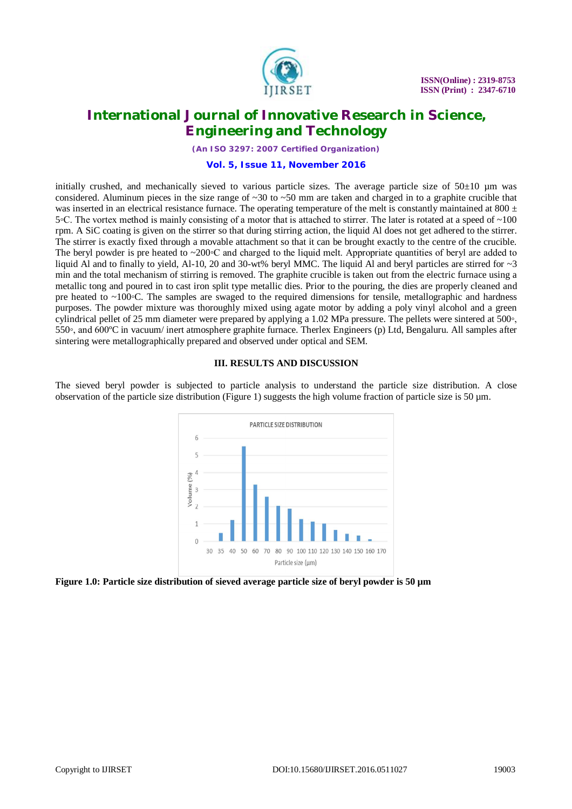

*(An ISO 3297: 2007 Certified Organization)*

#### **Vol. 5, Issue 11, November 2016**

initially crushed, and mechanically sieved to various particle sizes. The average particle size of  $50\pm10$  µm was considered. Aluminum pieces in the size range of  $\sim 30$  to  $\sim 50$  mm are taken and charged in to a graphite crucible that was inserted in an electrical resistance furnace. The operating temperature of the melt is constantly maintained at 800  $\pm$ 5 °C. The vortex method is mainly consisting of a motor that is attached to stirrer. The later is rotated at a speed of ∼100 rpm. A SiC coating is given on the stirrer so that during stirring action, the liquid Al does not get adhered to the stirrer. The stirrer is exactly fixed through a movable attachment so that it can be brought exactly to the centre of the crucible. The beryl powder is pre heated to  $\sim 200 \degree$ C and charged to the liquid melt. Appropriate quantities of beryl are added to liquid Al and to finally to yield, Al-10, 20 and 30-wt% beryl MMC. The liquid Al and beryl particles are stirred for  $\sim$ 3 min and the total mechanism of stirring is removed. The graphite crucible is taken out from the electric furnace using a metallic tong and poured in to cast iron split type metallic dies. Prior to the pouring, the dies are properly cleaned and pre heated to ~100℃. The samples are swaged to the required dimensions for tensile, metallographic and hardness purposes. The powder mixture was thoroughly mixed using agate motor by adding a poly vinyl alcohol and a green cylindrical pellet of 25 mm diameter were prepared by applying a 1.02 MPa pressure. The pellets were sintered at 500 $\circ$ , 550◦, and 600ºC in vacuum/ inert atmosphere graphite furnace. Therlex Engineers (p) Ltd, Bengaluru. All samples after sintering were metallographically prepared and observed under optical and SEM.

### **III. RESULTS AND DISCUSSION**

The sieved beryl powder is subjected to particle analysis to understand the particle size distribution. A close observation of the particle size distribution (Figure 1) suggests the high volume fraction of particle size is 50  $\mu$ m.



**Figure 1.0: Particle size distribution of sieved average particle size of beryl powder is 50 µm**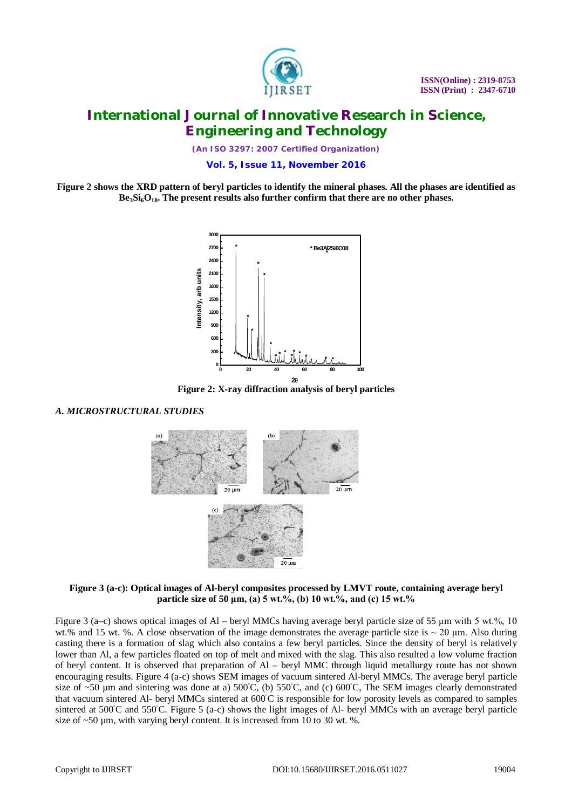

*(An ISO 3297: 2007 Certified Organization)*

**Vol. 5, Issue 11, November 2016**

**Figure 2 shows the XRD pattern of beryl particles to identify the mineral phases. All the phases are identified as Be3Si6O18. The present results also further confirm that there are no other phases.**



**Figure 2: X-ray diffraction analysis of beryl particles**

### *A. MICROSTRUCTURAL STUDIES*



**Figure 3 (a-c): Optical images of Al-beryl composites processed by LMVT route, containing average beryl particle size of 50 μm, (a) 5 wt.%, (b) 10 wt.%, and (c) 15 wt.%**

Figure 3 (a–c) shows optical images of Al – beryl MMCs having average beryl particle size of 55 μm with 5 wt.%, 10 wt.% and 15 wt. %. A close observation of the image demonstrates the average particle size is  $\sim$  20  $\mu$ m. Also during casting there is a formation of slag which also contains a few beryl particles. Since the density of beryl is relatively lower than Al, a few particles floated on top of melt and mixed with the slag. This also resulted a low volume fraction of beryl content. It is observed that preparation of Al – beryl MMC through liquid metallurgy route has not shown encouraging results. Figure 4 (a-c) shows SEM images of vacuum sintered Al-beryl MMCs. The average beryl particle size of ~50 µm and sintering was done at a)  $500^{\circ}$ C, (b)  $550^{\circ}$ C, and (c)  $600^{\circ}$ C, The SEM images clearly demonstrated that vacuum sintered Al- beryl MMCs sintered at 600◦C is responsible for low porosity levels as compared to samples sintered at  $500^{\circ}$ C and  $550^{\circ}$ C. Figure 5 (a-c) shows the light images of Al- beryl MMCs with an average beryl particle size of  $\sim$ 50  $\mu$ m, with varying beryl content. It is increased from 10 to 30 wt. %.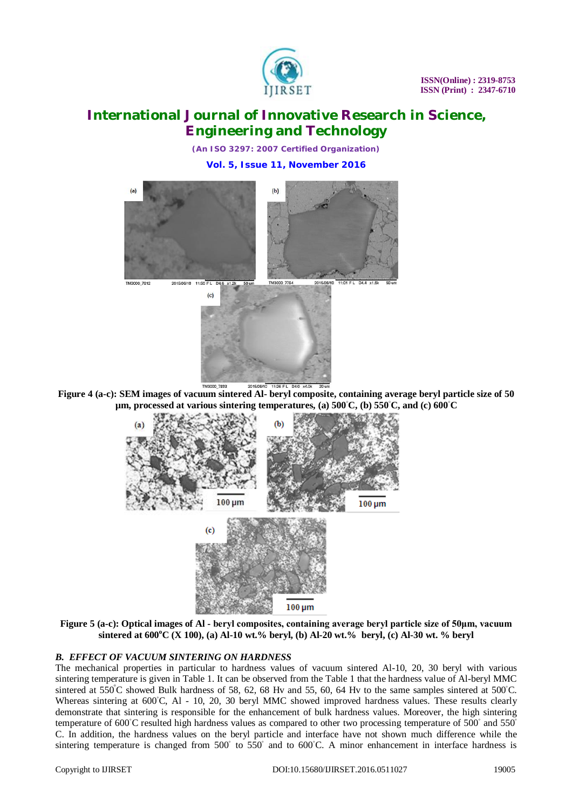

*(An ISO 3297: 2007 Certified Organization)* **Vol. 5, Issue 11, November 2016**



**Figure 4 (a-c): SEM images of vacuum sintered Al- beryl composite, containing average beryl particle size of 50 µm, processed at various sintering temperatures, (a) 500◦C, (b) 550◦C, and (c) 600◦C**



**Figure 5 (a-c): Optical images of Al - beryl composites, containing average beryl particle size of 50μm, vacuum sintered at 600<sup>o</sup>C (X 100), (a) Al-10 wt.% beryl, (b) Al-20 wt.% beryl, (c) Al-30 wt. % beryl**

### *B. EFFECT OF VACUUM SINTERING ON HARDNESS*

The mechanical properties in particular to hardness values of vacuum sintered Al-10, 20, 30 beryl with various sintering temperature is given in Table 1. It can be observed from the Table 1 that the hardness value of Al-beryl MMC sintered at  $550^{\circ}$ C showed Bulk hardness of 58, 62, 68 Hv and 55, 60, 64 Hv to the same samples sintered at  $500^{\circ}$ C. Whereas sintering at 600℃, Al - 10, 20, 30 beryl MMC showed improved hardness values. These results clearly demonstrate that sintering is responsible for the enhancement of bulk hardness values. Moreover, the high sintering temperature of 600°C resulted high hardness values as compared to other two processing temperature of 500 $\degree$  and 550 $\degree$ C. In addition, the hardness values on the beryl particle and interface have not shown much difference while the sintering temperature is changed from 500° to 550° and to 600°C. A minor enhancement in interface hardness is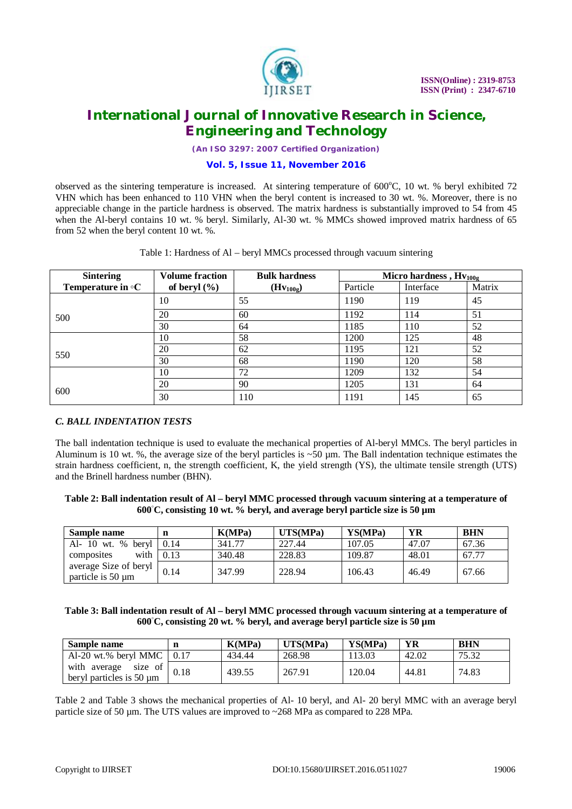

*(An ISO 3297: 2007 Certified Organization)*

**Vol. 5, Issue 11, November 2016**

observed as the sintering temperature is increased. At sintering temperature of  $600^{\circ}$ C, 10 wt. % beryl exhibited 72 VHN which has been enhanced to 110 VHN when the beryl content is increased to 30 wt. %. Moreover, there is no appreciable change in the particle hardness is observed. The matrix hardness is substantially improved to 54 from 45 when the Al-beryl contains 10 wt. % beryl. Similarly, Al-30 wt. % MMCs showed improved matrix hardness of 65 from 52 when the beryl content 10 wt. %.

| <b>Sintering</b>                          | <b>Volume fraction</b> | <b>Bulk hardness</b> | Micro hardness, $Hv_{100g}$ |           |        |
|-------------------------------------------|------------------------|----------------------|-----------------------------|-----------|--------|
| <b>Temperature in <math>\circ</math>C</b> | of beryl $(\% )$       | $(Hv_{100g})$        | Particle                    | Interface | Matrix |
|                                           | 10                     | 55                   | 1190                        | 119       | 45     |
| 500                                       | 20                     | 60                   | 1192                        | 114       | 51     |
|                                           | 30                     | 64                   | 1185                        | 110       | 52     |
|                                           | 10                     | 58                   | 1200                        | 125       | 48     |
| 550                                       | 20                     | 62                   | 1195                        | 121       | 52     |
|                                           | 30                     | 68                   | 1190                        | 120       | 58     |
|                                           | 10                     | 72                   | 1209                        | 132       | 54     |
|                                           | 20                     | 90                   | 1205                        | 131       | 64     |
| 600                                       | 30                     | 110                  | 1191                        | 145       | 65     |

Table 1: Hardness of Al – beryl MMCs processed through vacuum sintering

### *C. BALL INDENTATION TESTS*

The ball indentation technique is used to evaluate the mechanical properties of Al-beryl MMCs. The beryl particles in Aluminum is 10 wt. %, the average size of the beryl particles is ~50 µm. The Ball indentation technique estimates the strain hardness coefficient, n, the strength coefficient, K, the yield strength (YS), the ultimate tensile strength (UTS) and the Brinell hardness number (BHN).

### **Table 2: Ball indentation result of Al – beryl MMC processed through vacuum sintering at a temperature of 600◦C, consisting 10 wt. % beryl, and average beryl particle size is 50 µm**

| Sample name                                |                         | K(MPa) | UTS(MPa) | YS(MPa) | YR    | <b>BHN</b> |
|--------------------------------------------|-------------------------|--------|----------|---------|-------|------------|
| Al- 10 wt. % beryl 0.14                    |                         | 341.77 | 227.44   | 107.05  | 47.07 | 67.36      |
| composites                                 | with $\vert 0.13 \vert$ | 340.48 | 228.83   | 109.87  | 48.01 | 67.77      |
| average Size of beryl<br>particle is 50 um | 0.14                    | 347.99 | 228.94   | 106.43  | 46.49 | 67.66      |

### **Table 3: Ball indentation result of Al – beryl MMC processed through vacuum sintering at a temperature of 600◦C, consisting 20 wt. % beryl, and average beryl particle size is 50 µm**

| Sample name                                         |      | K(MPa) | UTS(MPa) | YS(MPa) | YR    | <b>BHN</b> |
|-----------------------------------------------------|------|--------|----------|---------|-------|------------|
| Al-20 wt.% beryl MMC $\vert$ 0.17                   |      | 434.44 | 268.98   | 113.03  | 42.02 | 75.32      |
| with average<br>size of<br>beryl particles is 50 µm | 0.18 | 439.55 | 267.91   | 120.04  | 44.81 | 74.83      |

Table 2 and Table 3 shows the mechanical properties of Al- 10 beryl, and Al- 20 beryl MMC with an average beryl particle size of 50  $\mu$ m. The UTS values are improved to  $\sim$ 268 MPa as compared to 228 MPa.